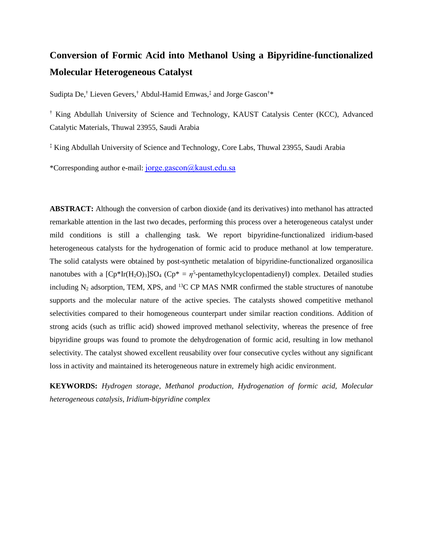# **Conversion of Formic Acid into Methanol Using a Bipyridine-functionalized Molecular Heterogeneous Catalyst**

Sudipta De, † Lieven Gevers,† Abdul-Hamid Emwas,‡ and Jorge Gascon†\*

† King Abdullah University of Science and Technology, KAUST Catalysis Center (KCC), Advanced Catalytic Materials, Thuwal 23955, Saudi Arabia

‡ King Abdullah University of Science and Technology, Core Labs, Thuwal 23955, Saudi Arabia

\*Corresponding author e-mail: [jorge.gascon@kaust.edu.sa](mailto:jorge.gascon@kaust.edu.sa)

**ABSTRACT:** Although the conversion of carbon dioxide (and its derivatives) into methanol has attracted remarkable attention in the last two decades, performing this process over a heterogeneous catalyst under mild conditions is still a challenging task. We report bipyridine-functionalized iridium-based heterogeneous catalysts for the hydrogenation of formic acid to produce methanol at low temperature. The solid catalysts were obtained by post-synthetic metalation of bipyridine-functionalized organosilica nanotubes with a  $[Cp*Ir(H<sub>2</sub>O)<sub>3</sub>]SO<sub>4</sub> (Cp* =  $\eta^5$ -pentamethylcyclopentadienyl) complex. Detailed studies$ including  $N_2$  adsorption, TEM, XPS, and <sup>13</sup>C CP MAS NMR confirmed the stable structures of nanotube supports and the molecular nature of the active species. The catalysts showed competitive methanol selectivities compared to their homogeneous counterpart under similar reaction conditions. Addition of strong acids (such as triflic acid) showed improved methanol selectivity, whereas the presence of free bipyridine groups was found to promote the dehydrogenation of formic acid, resulting in low methanol selectivity. The catalyst showed excellent reusability over four consecutive cycles without any significant loss in activity and maintained its heterogeneous nature in extremely high acidic environment.

**KEYWORDS:** *Hydrogen storage, Methanol production, Hydrogenation of formic acid, Molecular heterogeneous catalysis, Iridium-bipyridine complex*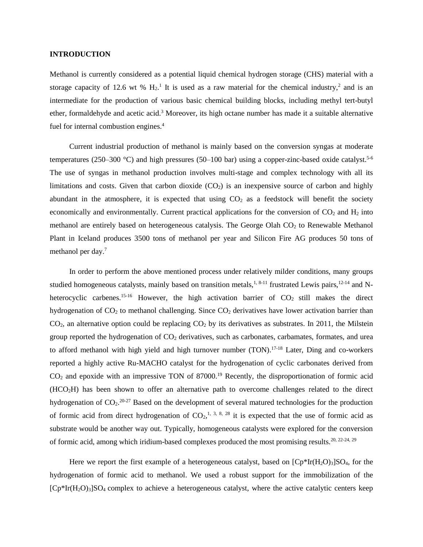#### **INTRODUCTION**

Methanol is currently considered as a potential liquid chemical hydrogen storage (CHS) material with a storage capacity of 12.6 wt %  $H_2$ .<sup>1</sup> It is used as a raw material for the chemical industry,<sup>2</sup> and is an intermediate for the production of various basic chemical building blocks, including methyl tert-butyl ether, formaldehyde and acetic acid.<sup>3</sup> Moreover, its high octane number has made it a suitable alternative fuel for internal combustion engines. 4

Current industrial production of methanol is mainly based on the conversion syngas at moderate temperatures (250–300 °C) and high pressures (50–100 bar) using a copper-zinc-based oxide catalyst.<sup>5-6</sup> The use of syngas in methanol production involves multi-stage and complex technology with all its limitations and costs. Given that carbon dioxide  $(CO<sub>2</sub>)$  is an inexpensive source of carbon and highly abundant in the atmosphere, it is expected that using  $CO<sub>2</sub>$  as a feedstock will benefit the society economically and environmentally. Current practical applications for the conversion of  $CO<sub>2</sub>$  and  $H<sub>2</sub>$  into methanol are entirely based on heterogeneous catalysis. The George Olah  $CO<sub>2</sub>$  to Renewable Methanol Plant in Iceland produces 3500 tons of methanol per year and Silicon Fire AG produces 50 tons of methanol per day. 7

In order to perform the above mentioned process under relatively milder conditions, many groups studied homogeneous catalysts, mainly based on transition metals,<sup>1, 8-11</sup> frustrated Lewis pairs,<sup>12-14</sup> and Nheterocyclic carbenes.<sup>15-16</sup> However, the high activation barrier of  $CO<sub>2</sub>$  still makes the direct hydrogenation of  $CO<sub>2</sub>$  to methanol challenging. Since  $CO<sub>2</sub>$  derivatives have lower activation barrier than  $CO<sub>2</sub>$ , an alternative option could be replacing  $CO<sub>2</sub>$  by its derivatives as substrates. In 2011, the Milstein group reported the hydrogenation of  $CO<sub>2</sub>$  derivatives, such as carbonates, carbamates, formates, and urea to afford methanol with high yield and high turnover number (TON).<sup>17-18</sup> Later, Ding and co-workers reported a highly active Ru-MACHO catalyst for the hydrogenation of cyclic carbonates derived from  $CO<sub>2</sub>$  and epoxide with an impressive TON of 87000.<sup>19</sup> Recently, the disproportionation of formic acid (HCO2H) has been shown to offer an alternative path to overcome challenges related to the direct hydrogenation of  $CO<sub>2</sub>$ . <sup>20-27</sup> Based on the development of several matured technologies for the production of formic acid from direct hydrogenation of  $CO<sub>2</sub>$ ,<sup>1, 3, 8, 28</sup> it is expected that the use of formic acid as substrate would be another way out. Typically, homogeneous catalysts were explored for the conversion of formic acid, among which iridium-based complexes produced the most promising results.20, 22-24, 29

Here we report the first example of a heterogeneous catalyst, based on  $[Cp*Ir(H_2O)_3]SO_4$ , for the hydrogenation of formic acid to methanol. We used a robust support for the immobilization of the  $[Cp^*Ir(H_2O)_3]SO_4$  complex to achieve a heterogeneous catalyst, where the active catalytic centers keep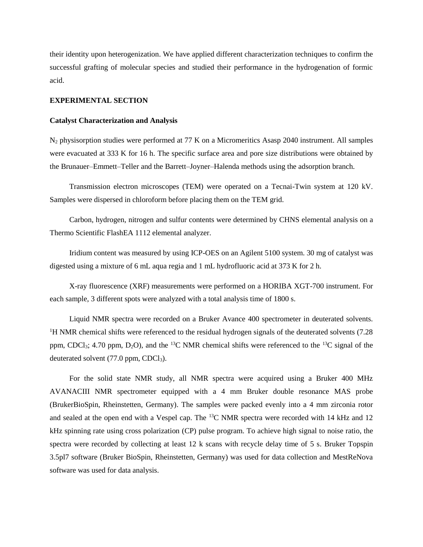their identity upon heterogenization. We have applied different characterization techniques to confirm the successful grafting of molecular species and studied their performance in the hydrogenation of formic acid.

# **EXPERIMENTAL SECTION**

#### **Catalyst Characterization and Analysis**

N<sup>2</sup> physisorption studies were performed at 77 K on a Micromeritics Asasp 2040 instrument. All samples were evacuated at 333 K for 16 h. The specific surface area and pore size distributions were obtained by the Brunauer–Emmett–Teller and the Barrett–Joyner–Halenda methods using the adsorption branch.

Transmission electron microscopes (TEM) were operated on a Tecnai-Twin system at 120 kV. Samples were dispersed in chloroform before placing them on the TEM grid.

Carbon, hydrogen, nitrogen and sulfur contents were determined by CHNS elemental analysis on a Thermo Scientific FlashEA 1112 elemental analyzer.

Iridium content was measured by using ICP-OES on an Agilent 5100 system. 30 mg of catalyst was digested using a mixture of 6 mL aqua regia and 1 mL hydrofluoric acid at 373 K for 2 h.

X-ray fluorescence (XRF) measurements were performed on a HORIBA XGT-700 instrument. For each sample, 3 different spots were analyzed with a total analysis time of 1800 s.

Liquid NMR spectra were recorded on a Bruker Avance 400 spectrometer in deuterated solvents. <sup>1</sup>H NMR chemical shifts were referenced to the residual hydrogen signals of the deuterated solvents (7.28) ppm, CDCl<sub>3</sub>; 4.70 ppm, D<sub>2</sub>O), and the <sup>13</sup>C NMR chemical shifts were referenced to the <sup>13</sup>C signal of the deuterated solvent  $(77.0 \text{ ppm}, \text{CDCl}_3)$ .

For the solid state NMR study, all NMR spectra were acquired using a Bruker 400 MHz AVANACIII NMR spectrometer equipped with a 4 mm Bruker double resonance MAS probe (BrukerBioSpin, Rheinstetten, Germany). The samples were packed evenly into a 4 mm zirconia rotor and sealed at the open end with a Vespel cap. The <sup>13</sup>C NMR spectra were recorded with 14 kHz and 12 kHz spinning rate using cross polarization (CP) pulse program. To achieve high signal to noise ratio, the spectra were recorded by collecting at least 12 k scans with recycle delay time of 5 s. Bruker Topspin 3.5pl7 software (Bruker BioSpin, Rheinstetten, Germany) was used for data collection and MestReNova software was used for data analysis.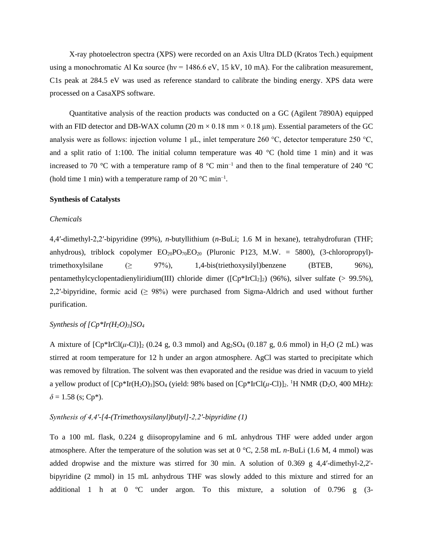X-ray photoelectron spectra (XPS) were recorded on an Axis Ultra DLD (Kratos Tech.) equipment using a monochromatic Al K $\alpha$  source (hv = 1486.6 eV, 15 kV, 10 mA). For the calibration measurement, C1s peak at 284.5 eV was used as reference standard to calibrate the binding energy. XPS data were processed on a CasaXPS software.

Quantitative analysis of the reaction products was conducted on a GC (Agilent 7890A) equipped with an FID detector and DB-WAX column (20 m  $\times$  0.18 mm  $\times$  0.18 µm). Essential parameters of the GC analysis were as follows: injection volume 1 μL, inlet temperature 260 °C, detector temperature 250 °C, and a split ratio of 1:100. The initial column temperature was 40  $\degree$ C (hold time 1 min) and it was increased to 70 °C with a temperature ramp of 8 °C min<sup>-1</sup> and then to the final temperature of 240 °C (hold time 1 min) with a temperature ramp of 20  $^{\circ}$ C min<sup>-1</sup>.

#### **Synthesis of Catalysts**

#### *Chemicals*

4,4′-dimethyl-2,2′-bipyridine (99%), *n*-butyllithium (*n*-BuLi; 1.6 M in hexane), tetrahydrofuran (THF; anhydrous), triblock copolymer  $EO_{20}PO_{70}EO_{20}$  (Pluronic P123, M.W. = 5800), (3-chloropropyl)trimethoxylsilane  $(\geq 97\%)$ , 1,4-bis(triethoxysilyl)benzene (BTEB, 96%), pentamethylcyclopentadienyliridium(III) chloride dimer ( $[CP^*IrCl<sub>2</sub>]$ ) (96%), silver sulfate (> 99.5%), 2,2'-bipyridine, formic acid  $(≥ 98%)$  were purchased from Sigma-Aldrich and used without further purification.

# *Synthesis of [Cp\*Ir(H2O)3]SO<sup>4</sup>*

A mixture of  $[Cp*IrCl(\mu-Cl)]_2$  (0.24 g, 0.3 mmol) and Ag<sub>2</sub>SO<sub>4</sub> (0.187 g, 0.6 mmol) in H<sub>2</sub>O (2 mL) was stirred at room temperature for 12 h under an argon atmosphere. AgCl was started to precipitate which was removed by filtration. The solvent was then evaporated and the residue was dried in vacuum to yield a yellow product of  $[Cp*Ir(H_2O)_3]SO_4$  (yield: 98% based on  $[Cp*IrCl(\mu{\text -}Cl)]_2$ . <sup>1</sup>H NMR (D<sub>2</sub>O, 400 MHz):  $\delta$  = 1.58 (s; Cp<sup>\*</sup>).

#### *Synthesis of 4,4′-[4-(Trimethoxysilanyl)butyl]-2,2′-bipyridine (1)*

To a 100 mL flask, 0.224 g diisopropylamine and 6 mL anhydrous THF were added under argon atmosphere. After the temperature of the solution was set at 0 °C, 2.58 mL *n*-BuLi (1.6 M, 4 mmol) was added dropwise and the mixture was stirred for 30 min. A solution of 0.369 g 4,4′-dimethyl-2,2' bipyridine (2 mmol) in 15 mL anhydrous THF was slowly added to this mixture and stirred for an additional 1 h at 0 ºC under argon. To this mixture, a solution of 0.796 g (3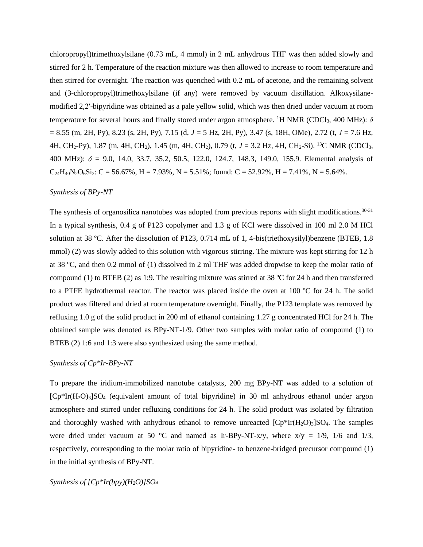chloropropyl)trimethoxylsilane (0.73 mL, 4 mmol) in 2 mL anhydrous THF was then added slowly and stirred for 2 h. Temperature of the reaction mixture was then allowed to increase to room temperature and then stirred for overnight. The reaction was quenched with 0.2 mL of acetone, and the remaining solvent and (3-chloropropyl)trimethoxylsilane (if any) were removed by vacuum distillation. Alkoxysilanemodified 2,2′-bipyridine was obtained as a pale yellow solid, which was then dried under vacuum at room temperature for several hours and finally stored under argon atmosphere. <sup>1</sup>H NMR (CDCl<sub>3</sub>, 400 MHz):  $\delta$ = 8.55 (m, 2H, Py), 8.23 (s, 2H, Py), 7.15 (d, *J* = 5 Hz, 2H, Py), 3.47 (s, 18H, OMe), 2.72 (t, *J* = 7.6 Hz, 4H, CH2-Py), 1.87 (m, 4H, CH2), 1.45 (m, 4H, CH2), 0.79 (t, *J* = 3.2 Hz, 4H, CH2-Si). <sup>13</sup>C NMR (CDCl3, 400 MHz): *δ* = 9.0, 14.0, 33.7, 35.2, 50.5, 122.0, 124.7, 148.3, 149.0, 155.9. Elemental analysis of  $C_{24}H_{40}N_2O_6Si_2$ :  $C = 56.67\%$ ,  $H = 7.93\%$ ,  $N = 5.51\%$ ; found:  $C = 52.92\%$ ,  $H = 7.41\%$ ,  $N = 5.64\%$ .

# *Synthesis of BPy-NT*

The synthesis of organosilica nanotubes was adopted from previous reports with slight modifications.<sup>30-31</sup> In a typical synthesis,  $0.4$  g of P123 copolymer and 1.3 g of KCl were dissolved in 100 ml 2.0 M HCl solution at 38 ºC. After the dissolution of P123, 0.714 mL of 1, 4-bis(triethoxysilyl)benzene (BTEB, 1.8 mmol) (2) was slowly added to this solution with vigorous stirring. The mixture was kept stirring for 12 h at 38 ºC, and then 0.2 mmol of (1) dissolved in 2 ml THF was added dropwise to keep the molar ratio of compound (1) to BTEB (2) as 1:9. The resulting mixture was stirred at 38  $\degree$ C for 24 h and then transferred to a PTFE hydrothermal reactor. The reactor was placed inside the oven at 100 ºC for 24 h. The solid product was filtered and dried at room temperature overnight. Finally, the P123 template was removed by refluxing 1.0 g of the solid product in 200 ml of ethanol containing 1.27 g concentrated HCl for 24 h. The obtained sample was denoted as BPy-NT-1/9. Other two samples with molar ratio of compound (1) to BTEB (2) 1:6 and 1:3 were also synthesized using the same method.

### *Synthesis of Cp\*Ir-BPy-NT*

To prepare the iridium-immobilized nanotube catalysts, 200 mg BPy-NT was added to a solution of  $[Cp*Ir(H<sub>2</sub>O)<sub>3</sub>]SO<sub>4</sub>$  (equivalent amount of total bipyridine) in 30 ml anhydrous ethanol under argon atmosphere and stirred under refluxing conditions for 24 h. The solid product was isolated by filtration and thoroughly washed with anhydrous ethanol to remove unreacted  $[Cp*Ir(H<sub>2</sub>O)<sub>3</sub>]SO<sub>4</sub>$ . The samples were dried under vacuum at 50 °C and named as Ir-BPy-NT-x/y, where  $x/y = 1/9$ , 1/6 and 1/3, respectively, corresponding to the molar ratio of bipyridine- to benzene-bridged precursor compound (1) in the initial synthesis of BPy-NT.

*Synthesis of [Cp\*Ir(bpy)(H2O)]SO4*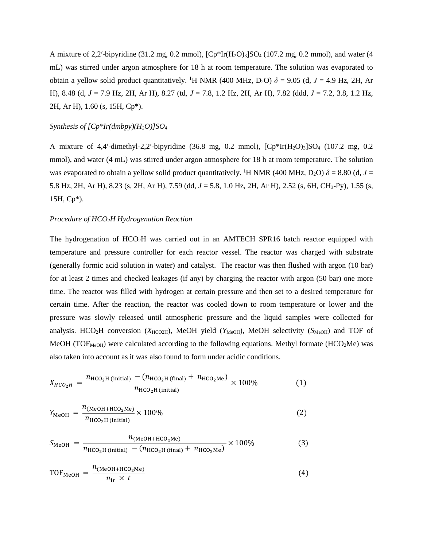A mixture of 2,2'-bipyridine (31.2 mg, 0.2 mmol),  $[CP^*Ir(H_2O)_3]SO_4$  (107.2 mg, 0.2 mmol), and water (4 mL) was stirred under argon atmosphere for 18 h at room temperature. The solution was evaporated to obtain a yellow solid product quantitatively. <sup>1</sup>H NMR (400 MHz, D<sub>2</sub>O)  $\delta$  = 9.05 (d, J = 4.9 Hz, 2H, Ar H), 8.48 (d, *J* = 7.9 Hz, 2H, Ar H), 8.27 (td, *J* = 7.8, 1.2 Hz, 2H, Ar H), 7.82 (ddd, *J* = 7.2, 3.8, 1.2 Hz, 2H, Ar H), 1.60 (s, 15H, Cp\*).

# *Synthesis of [Cp\*Ir(dmbpy)(H2O)]SO<sup>4</sup>*

A mixture of 4,4'-dimethyl-2,2'-bipyridine (36.8 mg, 0.2 mmol),  $[CP^*Ir(H_2O)_3]SO_4$  (107.2 mg, 0.2 mmol), and water (4 mL) was stirred under argon atmosphere for 18 h at room temperature. The solution was evaporated to obtain a yellow solid product quantitatively. <sup>1</sup>H NMR (400 MHz, D<sub>2</sub>O)  $\delta$  = 8.80 (d, *J* = 5.8 Hz, 2H, Ar H), 8.23 (s, 2H, Ar H), 7.59 (dd, *J* = 5.8, 1.0 Hz, 2H, Ar H), 2.52 (s, 6H, CH3-Py), 1.55 (s, 15H, Cp\*).

### *Procedure of HCO2H Hydrogenation Reaction*

The hydrogenation of HCO2H was carried out in an AMTECH SPR16 batch reactor equipped with temperature and pressure controller for each reactor vessel. The reactor was charged with substrate (generally formic acid solution in water) and catalyst. The reactor was then flushed with argon (10 bar) for at least 2 times and checked leakages (if any) by charging the reactor with argon (50 bar) one more time. The reactor was filled with hydrogen at certain pressure and then set to a desired temperature for certain time. After the reaction, the reactor was cooled down to room temperature or lower and the pressure was slowly released until atmospheric pressure and the liquid samples were collected for analysis. HCO<sub>2</sub>H conversion (*X*<sub>HCO2H</sub>), MeOH yield (*Y*<sub>MeOH</sub>), MeOH selectivity (*S*<sub>MeOH</sub>) and TOF of MeOH (TOF<sub>MeOH</sub>) were calculated according to the following equations. Methyl formate (HCO<sub>2</sub>Me) was also taken into account as it was also found to form under acidic conditions.

$$
X_{HCO_2H} = \frac{n_{\text{HCO}_2\text{H (initial)}} - (n_{\text{HCO}_2\text{H (final)}} + n_{\text{HCO}_2\text{Me}})}{n_{\text{HCO}_2\text{H (initial)}}} \times 100\%
$$
(1)

$$
Y_{\text{MeOH}} = \frac{n_{(\text{MeOH} + \text{HCO}_2\text{Me})}}{n_{\text{HCO}_2\text{H (initial)}}} \times 100\%
$$
 (2)

$$
S_{\text{MeOH}} = \frac{n_{(\text{MeOH} + \text{HCO}_2\text{Me})}}{n_{\text{HCO}_2\text{H (initial)}} - (n_{\text{HCO}_2\text{H (final)}} + n_{\text{HCO}_2\text{Me})}} \times 100\%
$$
(3)

$$
TOF_{MeOH} = \frac{n_{(MeOH + HCO_2Me)}}{n_{Ir} \times t}
$$
 (4)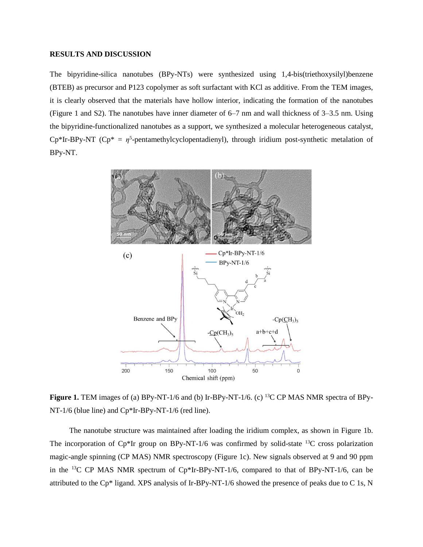## **RESULTS AND DISCUSSION**

The bipyridine-silica nanotubes (BPy-NTs) were synthesized using 1,4-bis(triethoxysilyl)benzene (BTEB) as precursor and P123 copolymer as soft surfactant with KCl as additive. From the TEM images, it is clearly observed that the materials have hollow interior, indicating the formation of the nanotubes (Figure 1 and S2). The nanotubes have inner diameter of 6–7 nm and wall thickness of 3–3.5 nm. Using the bipyridine-functionalized nanotubes as a support, we synthesized a molecular heterogeneous catalyst,  $Cp*Ir-BPy-NT$  ( $Cp* = \eta^5$ -pentamethylcyclopentadienyl), through iridium post-synthetic metalation of BPy-NT.



**Figure 1.** TEM images of (a) BPy-NT-1/6 and (b) Ir-BPy-NT-1/6. (c) <sup>13</sup>C CP MAS NMR spectra of BPy-NT-1/6 (blue line) and Cp\*Ir-BPy-NT-1/6 (red line).

The nanotube structure was maintained after loading the iridium complex, as shown in Figure 1b. The incorporation of  $Cp*Ir$  group on BPy-NT-1/6 was confirmed by solid-state  $^{13}C$  cross polarization magic-angle spinning (CP MAS) NMR spectroscopy (Figure 1c). New signals observed at 9 and 90 ppm in the <sup>13</sup>C CP MAS NMR spectrum of  $Cp*Ir-BPy-NT-1/6$ , compared to that of BPy-NT-1/6, can be attributed to the Cp\* ligand. XPS analysis of Ir-BPy-NT-1/6 showed the presence of peaks due to C 1s, N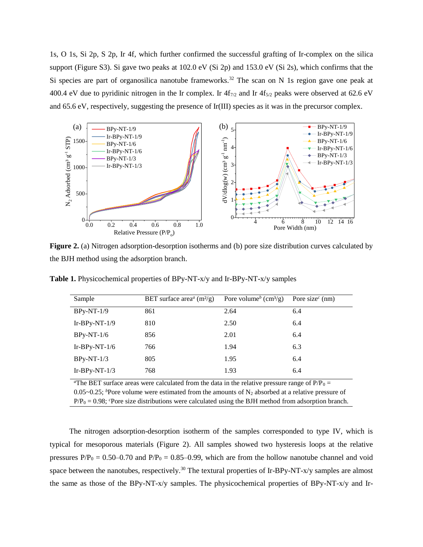1s, O 1s, Si 2p, S 2p, Ir 4f, which further confirmed the successful grafting of Ir-complex on the silica support (Figure S3). Si gave two peaks at 102.0 eV (Si 2p) and 153.0 eV (Si 2s), which confirms that the Si species are part of organosilica nanotube frameworks.<sup>32</sup> The scan on N 1s region gave one peak at 400.4 eV due to pyridinic nitrogen in the Ir complex. Ir  $4f_{7/2}$  and Ir  $4f_{5/2}$  peaks were observed at 62.6 eV and 65.6 eV, respectively, suggesting the presence of Ir(III) species as it was in the precursor complex.



**Figure 2.** (a) Nitrogen adsorption-desorption isotherms and (b) pore size distribution curves calculated by the BJH method using the adsorption branch.

| Sample                                                                                                       | BET surface area <sup><math>a</math></sup> (m <sup>2</sup> /g) | Pore volume <sup>b</sup> (cm <sup>3</sup> /g) | Pore size <sup><math>c</math></sup> (nm) |  |  |  |
|--------------------------------------------------------------------------------------------------------------|----------------------------------------------------------------|-----------------------------------------------|------------------------------------------|--|--|--|
| $BPy-NT-1/9$                                                                                                 | 861                                                            | 2.64                                          | 6.4                                      |  |  |  |
| Ir-BPy-NT- $1/9$                                                                                             | 810                                                            | 2.50                                          | 6.4                                      |  |  |  |
| $BPy-NT-1/6$                                                                                                 | 856                                                            | 2.01                                          | 6.4                                      |  |  |  |
| Ir-BPy-NT- $1/6$                                                                                             | 766                                                            | 1.94                                          | 6.3                                      |  |  |  |
| $BPy-NT-1/3$                                                                                                 | 805                                                            | 1.95                                          | 6.4                                      |  |  |  |
| $Ir-BPy-NT-1/3$                                                                                              | 768                                                            | 1.93                                          | 6.4                                      |  |  |  |
| <sup>a</sup> The RFT surface areas were calculated from the data in the relative pressure range of $P/P_0 =$ |                                                                |                                               |                                          |  |  |  |

**Table 1.** Physicochemical properties of BPy-NT-x/y and Ir-BPy-NT-x/y samples

culated from the data in the relative pressure range 0.05~0.25; <sup>*b*</sup>Pore volume were estimated from the amounts of N<sub>2</sub> absorbed at a relative pressure of

 $P/P_0 = 0.98$ ; *c*Pore size distributions were calculated using the BJH method from adsorption branch.

The nitrogen adsorption-desorption isotherm of the samples corresponded to type IV, which is typical for mesoporous materials (Figure 2). All samples showed two hysteresis loops at the relative pressures  $P/P_0 = 0.50 - 0.70$  and  $P/P_0 = 0.85 - 0.99$ , which are from the hollow nanotube channel and void space between the nanotubes, respectively.<sup>30</sup> The textural properties of Ir-BPy-NT-x/y samples are almost the same as those of the BPy-NT-x/y samples. The physicochemical properties of BPy-NT-x/y and Ir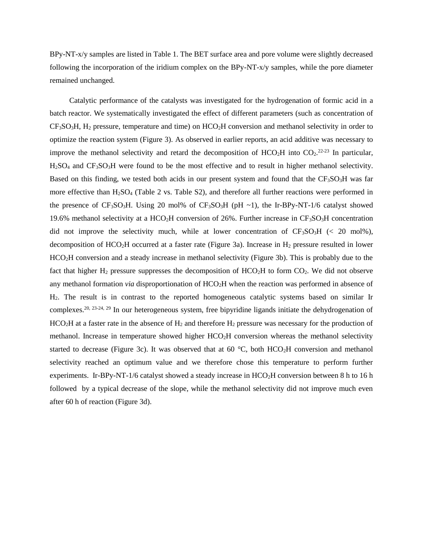BPy-NT-x/y samples are listed in Table 1. The BET surface area and pore volume were slightly decreased following the incorporation of the iridium complex on the BPy-NT-x/y samples, while the pore diameter remained unchanged.

Catalytic performance of the catalysts was investigated for the hydrogenation of formic acid in a batch reactor. We systematically investigated the effect of different parameters (such as concentration of  $CF<sub>3</sub>SO<sub>3</sub>H$ , H<sub>2</sub> pressure, temperature and time) on HCO<sub>2</sub>H conversion and methanol selectivity in order to optimize the reaction system (Figure 3). As observed in earlier reports, an acid additive was necessary to improve the methanol selectivity and retard the decomposition of  $HCO<sub>2</sub>H$  into  $CO<sub>2</sub>.<sup>22-23</sup>$  In particular,  $H<sub>2</sub>SO<sub>4</sub>$  and  $CF<sub>3</sub>SO<sub>3</sub>H$  were found to be the most effective and to result in higher methanol selectivity. Based on this finding, we tested both acids in our present system and found that the  $CF<sub>3</sub>SO<sub>3</sub>H$  was far more effective than  $H_2SO_4$  (Table 2 vs. Table S2), and therefore all further reactions were performed in the presence of  $CF_3SO_3H$ . Using 20 mol% of  $CF_3SO_3H$  (pH ~1), the Ir-BPy-NT-1/6 catalyst showed 19.6% methanol selectivity at a HCO<sub>2</sub>H conversion of 26%. Further increase in  $CF<sub>3</sub>SO<sub>3</sub>H$  concentration did not improve the selectivity much, while at lower concentration of  $CF<sub>3</sub>SO<sub>3</sub>H$  (< 20 mol%), decomposition of  $HCO<sub>2</sub>H$  occurred at a faster rate (Figure 3a). Increase in  $H<sub>2</sub>$  pressure resulted in lower HCO2H conversion and a steady increase in methanol selectivity (Figure 3b). This is probably due to the fact that higher  $H_2$  pressure suppresses the decomposition of  $HCO<sub>2</sub>H$  to form  $CO<sub>2</sub>$ . We did not observe any methanol formation *via* disproportionation of HCO<sub>2</sub>H when the reaction was performed in absence of H2. The result is in contrast to the reported homogeneous catalytic systems based on similar Ir complexes.20, 23-24, 29 In our heterogeneous system, free bipyridine ligands initiate the dehydrogenation of  $HCO<sub>2</sub>H$  at a faster rate in the absence of  $H<sub>2</sub>$  and therefore  $H<sub>2</sub>$  pressure was necessary for the production of methanol. Increase in temperature showed higher  $HCO<sub>2</sub>H$  conversion whereas the methanol selectivity started to decrease (Figure 3c). It was observed that at 60 °C, both HCO<sub>2</sub>H conversion and methanol selectivity reached an optimum value and we therefore chose this temperature to perform further experiments. Ir-BPy-NT-1/6 catalyst showed a steady increase in HCO<sub>2</sub>H conversion between 8 h to 16 h followed by a typical decrease of the slope, while the methanol selectivity did not improve much even after 60 h of reaction (Figure 3d).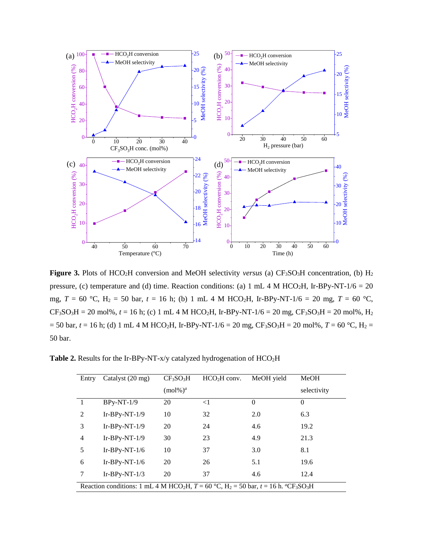

Figure 3. Plots of HCO<sub>2</sub>H conversion and MeOH selectivity *versus* (a) CF<sub>3</sub>SO<sub>3</sub>H concentration, (b) H<sub>2</sub> pressure, (c) temperature and (d) time. Reaction conditions: (a) 1 mL 4 M HCO<sub>2</sub>H, Ir-BPy-NT-1/6 = 20 mg,  $T = 60$  °C,  $H_2 = 50$  bar,  $t = 16$  h; (b) 1 mL 4 M HCO<sub>2</sub>H, Ir-BPy-NT-1/6 = 20 mg,  $T = 60$  °C,  $CF<sub>3</sub>SO<sub>3</sub>H = 20$  mol%,  $t = 16$  h; (c) 1 mL 4 M HCO<sub>2</sub>H, Ir-BPy-NT-1/6 = 20 mg,  $CF<sub>3</sub>SO<sub>3</sub>H = 20$  mol%, H<sub>2</sub>  $= 50$  bar,  $t = 16$  h; (d) 1 mL 4 M HCO<sub>2</sub>H, Ir-BPy-NT-1/6 = 20 mg, CF<sub>3</sub>SO<sub>3</sub>H = 20 mol%, *T* = 60 °C, H<sub>2</sub> = 50 bar.

**Table 2.** Results for the Ir-BPy-NT-x/y catalyzed hydrogenation of HCO2H

| Entry          | Catalyst (20 mg)                                                                                                              | CF <sub>3</sub> SO <sub>3</sub> H | $HCO2H$ conv. | MeOH yield | MeOH        |  |  |  |
|----------------|-------------------------------------------------------------------------------------------------------------------------------|-----------------------------------|---------------|------------|-------------|--|--|--|
|                |                                                                                                                               | $(mol\%)a$                        |               |            | selectivity |  |  |  |
|                | $BPv-NT-1/9$                                                                                                                  | 20                                | $<$ 1         | $\Omega$   | $\Omega$    |  |  |  |
| $\overline{2}$ | $Ir-BPy-NT-1/9$                                                                                                               | 10                                | 32            | 2.0        | 6.3         |  |  |  |
| 3              | $Ir-BPy-NT-1/9$                                                                                                               | 20                                | 24            | 4.6        | 19.2        |  |  |  |
| $\overline{4}$ | $Ir-BPy-NT-1/9$                                                                                                               | 30                                | 23            | 4.9        | 21.3        |  |  |  |
| 5              | Ir-BPy-NT- $1/6$                                                                                                              | 10                                | 37            | 3.0        | 8.1         |  |  |  |
| 6              | Ir-BPy-NT- $1/6$                                                                                                              | 20                                | 26            | 5.1        | 19.6        |  |  |  |
| 7              | Ir-BPy-NT- $1/3$                                                                                                              | 20                                | 37            | 4.6        | 12.4        |  |  |  |
|                | Reaction conditions: 1 mL 4 M HCO <sub>2</sub> H, $T = 60$ °C, $H_2 = 50$ bar, $t = 16$ h. "CF <sub>3</sub> SO <sub>3</sub> H |                                   |               |            |             |  |  |  |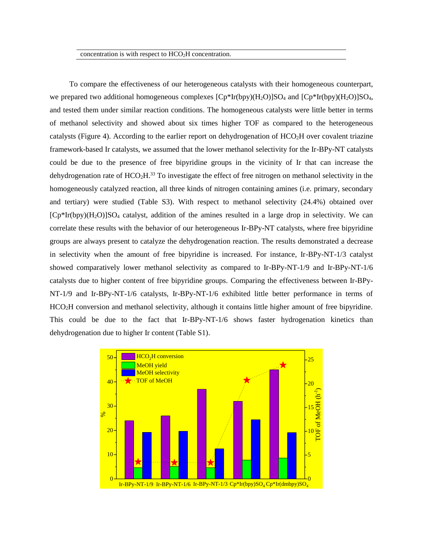concentration is with respect to  $HCO<sub>2</sub>H$  concentration.

To compare the effectiveness of our heterogeneous catalysts with their homogeneous counterpart, we prepared two additional homogeneous complexes  $[Cp*Ir(bpy)(H_2O)]SO_4$  and  $[Cp*Ir(bpy)(H_2O)]SO_4$ , and tested them under similar reaction conditions. The homogeneous catalysts were little better in terms of methanol selectivity and showed about six times higher TOF as compared to the heterogeneous catalysts (Figure 4). According to the earlier report on dehydrogenation of  $HCO<sub>2</sub>H$  over covalent triazine framework-based Ir catalysts, we assumed that the lower methanol selectivity for the Ir-BPy-NT catalysts could be due to the presence of free bipyridine groups in the vicinity of Ir that can increase the dehydrogenation rate of  $HCO<sub>2</sub>H<sup>33</sup>$  To investigate the effect of free nitrogen on methanol selectivity in the homogeneously catalyzed reaction, all three kinds of nitrogen containing amines (i.e. primary, secondary and tertiary) were studied (Table S3). With respect to methanol selectivity (24.4%) obtained over  $[Cp*Ir(bpy)(H_2O)]SO_4$  catalyst, addition of the amines resulted in a large drop in selectivity. We can correlate these results with the behavior of our heterogeneous Ir-BPy-NT catalysts, where free bipyridine groups are always present to catalyze the dehydrogenation reaction. The results demonstrated a decrease in selectivity when the amount of free bipyridine is increased. For instance, Ir-BPy-NT-1/3 catalyst showed comparatively lower methanol selectivity as compared to Ir-BPy-NT-1/9 and Ir-BPy-NT-1/6 catalysts due to higher content of free bipyridine groups. Comparing the effectiveness between Ir-BPy-NT-1/9 and Ir-BPy-NT-1/6 catalysts, Ir-BPy-NT-1/6 exhibited little better performance in terms of HCO2H conversion and methanol selectivity, although it contains little higher amount of free bipyridine. This could be due to the fact that Ir-BPy-NT-1/6 shows faster hydrogenation kinetics than dehydrogenation due to higher Ir content (Table S1).

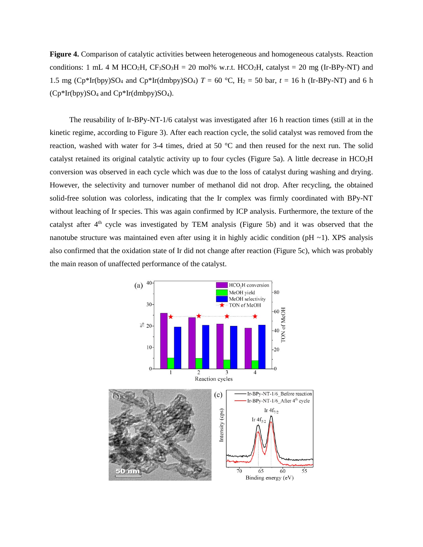**Figure 4.** Comparison of catalytic activities between heterogeneous and homogeneous catalysts. Reaction conditions: 1 mL 4 M HCO<sub>2</sub>H, CF<sub>3</sub>SO<sub>3</sub>H = 20 mol% w.r.t. HCO<sub>2</sub>H, catalyst = 20 mg (Ir-BPy-NT) and 1.5 mg ( $Cp*Ir(bpy)SO_4$  and  $Cp*Ir(dmbpy)SO_4$ )  $T = 60 °C$ ,  $H_2 = 50$  bar,  $t = 16$  h (Ir-BPy-NT) and 6 h  $(Cp*Ir(bpy)SO_4$  and  $Cp*Ir(dmbpy)SO_4$ .

The reusability of Ir-BPy-NT-1/6 catalyst was investigated after 16 h reaction times (still at in the kinetic regime, according to Figure 3). After each reaction cycle, the solid catalyst was removed from the reaction, washed with water for 3-4 times, dried at 50 °C and then reused for the next run. The solid catalyst retained its original catalytic activity up to four cycles (Figure 5a). A little decrease in HCO2H conversion was observed in each cycle which was due to the loss of catalyst during washing and drying. However, the selectivity and turnover number of methanol did not drop. After recycling, the obtained solid-free solution was colorless, indicating that the Ir complex was firmly coordinated with BPy-NT without leaching of Ir species. This was again confirmed by ICP analysis. Furthermore, the texture of the catalyst after 4<sup>th</sup> cycle was investigated by TEM analysis (Figure 5b) and it was observed that the nanotube structure was maintained even after using it in highly acidic condition ( $pH \sim 1$ ). XPS analysis also confirmed that the oxidation state of Ir did not change after reaction (Figure 5c), which was probably the main reason of unaffected performance of the catalyst.

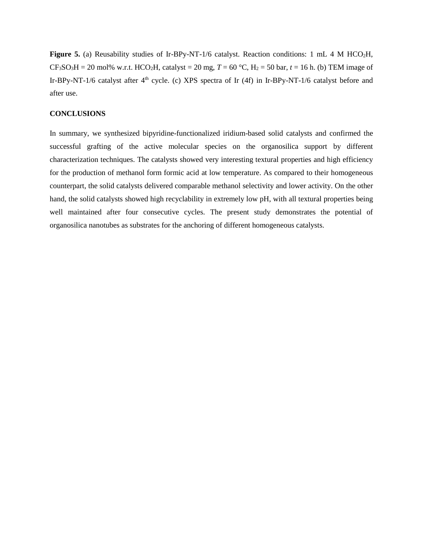Figure 5. (a) Reusability studies of Ir-BPy-NT-1/6 catalyst. Reaction conditions: 1 mL 4 M HCO<sub>2</sub>H,  $CF<sub>3</sub>SO<sub>3</sub>H = 20$  mol% w.r.t. HCO<sub>2</sub>H, catalyst = 20 mg,  $T = 60$  °C, H<sub>2</sub> = 50 bar,  $t = 16$  h. (b) TEM image of Ir-BPy-NT-1/6 catalyst after  $4<sup>th</sup>$  cycle. (c) XPS spectra of Ir (4f) in Ir-BPy-NT-1/6 catalyst before and after use.

# **CONCLUSIONS**

In summary, we synthesized bipyridine-functionalized iridium-based solid catalysts and confirmed the successful grafting of the active molecular species on the organosilica support by different characterization techniques. The catalysts showed very interesting textural properties and high efficiency for the production of methanol form formic acid at low temperature. As compared to their homogeneous counterpart, the solid catalysts delivered comparable methanol selectivity and lower activity. On the other hand, the solid catalysts showed high recyclability in extremely low pH, with all textural properties being well maintained after four consecutive cycles. The present study demonstrates the potential of organosilica nanotubes as substrates for the anchoring of different homogeneous catalysts.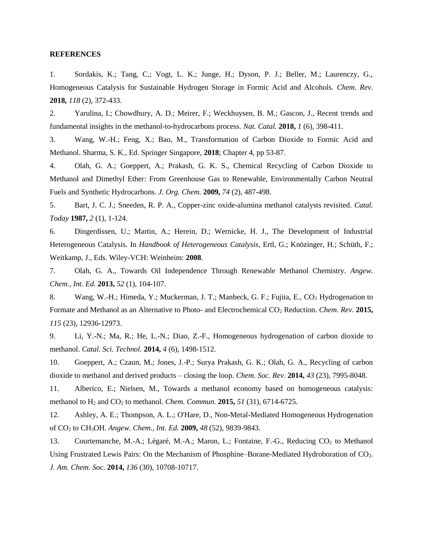#### **REFERENCES**

1. Sordakis, K.; Tang, C.; Vogt, L. K.; Junge, H.; Dyson, P. J.; Beller, M.; Laurenczy, G., Homogeneous Catalysis for Sustainable Hydrogen Storage in Formic Acid and Alcohols. *Chem. Rev.*  **2018,** *118* (2), 372-433.

2. Yarulina, I.; Chowdhury, A. D.; Meirer, F.; Weckhuysen, B. M.; Gascon, J., Recent trends and fundamental insights in the methanol-to-hydrocarbons process. *Nat. Catal.* **2018,** *1* (6), 398-411.

3. Wang, W.-H.; Feng, X.; Bao, M., Transformation of Carbon Dioxide to Formic Acid and Methanol. Sharma, S. K., Ed. Springer Singapore, **2018**; Chapter 4, pp 53-87.

4. Olah, G. A.; Goeppert, A.; Prakash, G. K. S., Chemical Recycling of Carbon Dioxide to Methanol and Dimethyl Ether: From Greenhouse Gas to Renewable, Environmentally Carbon Neutral Fuels and Synthetic Hydrocarbons. *J. Org. Chem.* **2009,** *74* (2), 487-498.

5. Bart, J. C. J.; Sneeden, R. P. A., Copper-zinc oxide-alumina methanol catalysts revisited. *Catal. Today* **1987,** *2* (1), 1-124.

6. Dingerdissen, U.; Martin, A.; Herein, D.; Wernicke, H. J., The Development of Industrial Heterogeneous Catalysis. In *Handbook of Heterogeneous Catalysis*, Ertl, G.; Knözinger, H.; Schüth, F.; Weitkamp, J., Eds. Wiley-VCH: Weinheim: **2008**.

7. Olah, G. A., Towards Oil Independence Through Renewable Methanol Chemistry. *Angew. Chem., Int. Ed.* **2013,** *52* (1), 104-107.

8. Wang, W.-H.; Himeda, Y.; Muckerman, J. T.; Manbeck, G. F.; Fujita, E., CO<sub>2</sub> Hydrogenation to Formate and Methanol as an Alternative to Photo- and Electrochemical CO<sup>2</sup> Reduction. *Chem. Rev.* **2015,** *115* (23), 12936-12973.

9. Li, Y.-N.; Ma, R.; He, L.-N.; Diao, Z.-F., Homogeneous hydrogenation of carbon dioxide to methanol. *Catal. Sci. Technol.* **2014,** *4* (6), 1498-1512.

10. Goeppert, A.; Czaun, M.; Jones, J.-P.; Surya Prakash, G. K.; Olah, G. A., Recycling of carbon dioxide to methanol and derived products – closing the loop. *Chem. Soc. Rev.* **2014,** *43* (23), 7995-8048.

11. Alberico, E.; Nielsen, M., Towards a methanol economy based on homogeneous catalysis: methanol to H<sup>2</sup> and CO<sup>2</sup> to methanol. *Chem. Commun.* **2015,** *51* (31), 6714-6725.

12. Ashley, A. E.; Thompson, A. L.; O'Hare, D., Non-Metal-Mediated Homogeneous Hydrogenation of CO<sup>2</sup> to CH3OH. *Angew. Chem., Int. Ed.* **2009,** *48* (52), 9839-9843.

13. Courtemanche, M.-A.; Légaré, M.-A.; Maron, L.; Fontaine, F.-G., Reducing CO<sub>2</sub> to Methanol Using Frustrated Lewis Pairs: On the Mechanism of Phosphine–Borane-Mediated Hydroboration of CO2. *J. Am. Chem. Soc.* **2014,** *136* (30), 10708-10717.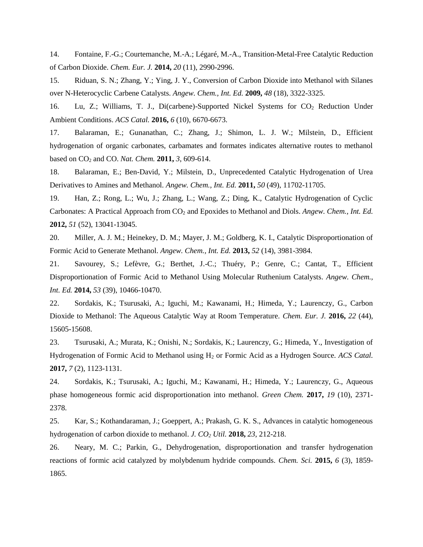14. Fontaine, F.-G.; Courtemanche, M.-A.; Légaré, M.-A., Transition-Metal-Free Catalytic Reduction of Carbon Dioxide. *Chem. Eur. J.* **2014,** *20* (11), 2990-2996.

15. Riduan, S. N.; Zhang, Y.; Ying, J. Y., Conversion of Carbon Dioxide into Methanol with Silanes over N-Heterocyclic Carbene Catalysts. *Angew. Chem., Int. Ed.* **2009,** *48* (18), 3322-3325.

16. Lu, Z.; Williams, T. J., Di(carbene)-Supported Nickel Systems for CO<sub>2</sub> Reduction Under Ambient Conditions. *ACS Catal.* **2016,** *6* (10), 6670-6673.

17. Balaraman, E.; Gunanathan, C.; Zhang, J.; Shimon, L. J. W.; Milstein, D., Efficient hydrogenation of organic carbonates, carbamates and formates indicates alternative routes to methanol based on CO<sup>2</sup> and CO. *Nat. Chem.* **2011,** *3*, 609-614.

18. Balaraman, E.; Ben-David, Y.; Milstein, D., Unprecedented Catalytic Hydrogenation of Urea Derivatives to Amines and Methanol. *Angew. Chem., Int. Ed.* **2011,** *50* (49), 11702-11705.

19. Han, Z.; Rong, L.; Wu, J.; Zhang, L.; Wang, Z.; Ding, K., Catalytic Hydrogenation of Cyclic Carbonates: A Practical Approach from CO<sub>2</sub> and Epoxides to Methanol and Diols. *Angew. Chem., Int. Ed.* **2012,** *51* (52), 13041-13045.

20. Miller, A. J. M.; Heinekey, D. M.; Mayer, J. M.; Goldberg, K. I., Catalytic Disproportionation of Formic Acid to Generate Methanol. *Angew. Chem., Int. Ed.* **2013,** *52* (14), 3981-3984.

21. Savourey, S.; Lefèvre, G.; Berthet, J.-C.; Thuéry, P.; Genre, C.; Cantat, T., Efficient Disproportionation of Formic Acid to Methanol Using Molecular Ruthenium Catalysts. *Angew. Chem., Int. Ed.* **2014,** *53* (39), 10466-10470.

22. Sordakis, K.; Tsurusaki, A.; Iguchi, M.; Kawanami, H.; Himeda, Y.; Laurenczy, G., Carbon Dioxide to Methanol: The Aqueous Catalytic Way at Room Temperature. *Chem. Eur. J.* **2016,** *22* (44), 15605-15608.

23. Tsurusaki, A.; Murata, K.; Onishi, N.; Sordakis, K.; Laurenczy, G.; Himeda, Y., Investigation of Hydrogenation of Formic Acid to Methanol using H<sup>2</sup> or Formic Acid as a Hydrogen Source. *ACS Catal.*  **2017,** *7* (2), 1123-1131.

24. Sordakis, K.; Tsurusaki, A.; Iguchi, M.; Kawanami, H.; Himeda, Y.; Laurenczy, G., Aqueous phase homogeneous formic acid disproportionation into methanol. *Green Chem.* **2017,** *19* (10), 2371- 2378.

25. Kar, S.; Kothandaraman, J.; Goeppert, A.; Prakash, G. K. S., Advances in catalytic homogeneous hydrogenation of carbon dioxide to methanol. *J. CO<sup>2</sup> Util.* **2018,** *23*, 212-218.

26. Neary, M. C.; Parkin, G., Dehydrogenation, disproportionation and transfer hydrogenation reactions of formic acid catalyzed by molybdenum hydride compounds. *Chem. Sci.* **2015,** *6* (3), 1859- 1865.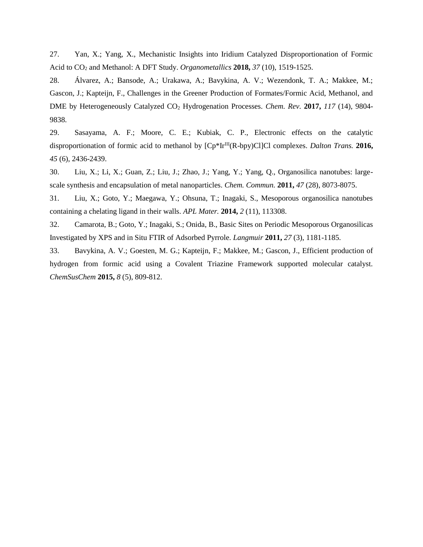27. Yan, X.; Yang, X., Mechanistic Insights into Iridium Catalyzed Disproportionation of Formic Acid to CO<sup>2</sup> and Methanol: A DFT Study. *Organometallics* **2018,** *37* (10), 1519-1525.

28. Álvarez, A.; Bansode, A.; Urakawa, A.; Bavykina, A. V.; Wezendonk, T. A.; Makkee, M.; Gascon, J.; Kapteijn, F., Challenges in the Greener Production of Formates/Formic Acid, Methanol, and DME by Heterogeneously Catalyzed CO<sup>2</sup> Hydrogenation Processes. *Chem. Rev.* **2017,** *117* (14), 9804- 9838.

29. Sasayama, A. F.; Moore, C. E.; Kubiak, C. P., Electronic effects on the catalytic disproportionation of formic acid to methanol by  $[Cp*Ir^{III}(R-bpy)Cl]Cl$  complexes. *Dalton Trans.* 2016, *45* (6), 2436-2439.

30. Liu, X.; Li, X.; Guan, Z.; Liu, J.; Zhao, J.; Yang, Y.; Yang, Q., Organosilica nanotubes: largescale synthesis and encapsulation of metal nanoparticles. *Chem. Commun.* **2011,** *47* (28), 8073-8075.

31. Liu, X.; Goto, Y.; Maegawa, Y.; Ohsuna, T.; Inagaki, S., Mesoporous organosilica nanotubes containing a chelating ligand in their walls. *APL Mater.* **2014,** *2* (11), 113308.

32. Camarota, B.; Goto, Y.; Inagaki, S.; Onida, B., Basic Sites on Periodic Mesoporous Organosilicas Investigated by XPS and in Situ FTIR of Adsorbed Pyrrole. *Langmuir* **2011,** *27* (3), 1181-1185.

33. Bavykina, A. V.; Goesten, M. G.; Kapteijn, F.; Makkee, M.; Gascon, J., Efficient production of hydrogen from formic acid using a Covalent Triazine Framework supported molecular catalyst. *ChemSusChem* **2015,** *8* (5), 809-812.